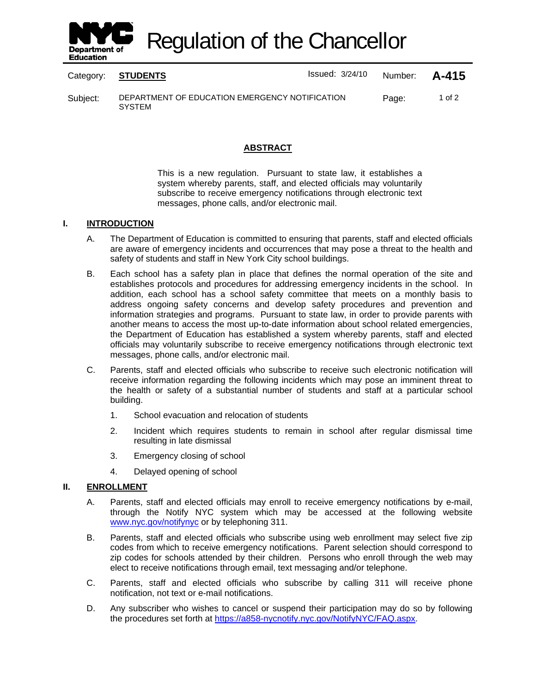

Regulation of the Chancellor

Category: **STUDENTS ISSUED 124/10** Number: **A-415** 

Subject: DEPARTMENT OF EDUCATION EMERGENCY NOTIFICATION **SYSTEM** Page: 1 of 2

## **ABSTRACT**

This is a new regulation. Pursuant to state law, it establishes a system whereby parents, staff, and elected officials may voluntarily subscribe to receive emergency notifications through electronic text messages, phone calls, and/or electronic mail.

## **I. INTRODUCTION**

- A. The Department of Education is committed to ensuring that parents, staff and elected officials are aware of emergency incidents and occurrences that may pose a threat to the health and safety of students and staff in New York City school buildings.
- B. Each school has a safety plan in place that defines the normal operation of the site and establishes protocols and procedures for addressing emergency incidents in the school. In addition, each school has a school safety committee that meets on a monthly basis to address ongoing safety concerns and develop safety procedures and prevention and information strategies and programs. Pursuant to state law, in order to provide parents with another means to access the most up-to-date information about school related emergencies, the Department of Education has established a system whereby parents, staff and elected officials may voluntarily subscribe to receive emergency notifications through electronic text messages, phone calls, and/or electronic mail.
- C. Parents, staff and elected officials who subscribe to receive such electronic notification will receive information regarding the following incidents which may pose an imminent threat to the health or safety of a substantial number of students and staff at a particular school building.
	- 1. School evacuation and relocation of students
	- 2. Incident which requires students to remain in school after regular dismissal time resulting in late dismissal
	- 3. Emergency closing of school
	- 4. Delayed opening of school

# **II. ENROLLMENT**

- A. Parents, staff and elected officials may enroll to receive emergency notifications by e-mail, through the Notify NYC system which may be accessed at the following website www.nyc.gov/notifynyc or by telephoning 311.
- B. Parents, staff and elected officials who subscribe using web enrollment may select five zip codes from which to receive emergency notifications. Parent selection should correspond to zip codes for schools attended by their children. Persons who enroll through the web may elect to receive notifications through email, text messaging and/or telephone.
- C. Parents, staff and elected officials who subscribe by calling 311 will receive phone notification, not text or e-mail notifications.
- D. Any subscriber who wishes to cancel or suspend their participation may do so by following the procedures set forth at https://a858-nycnotify.nyc.gov/NotifyNYC/FAQ.aspx.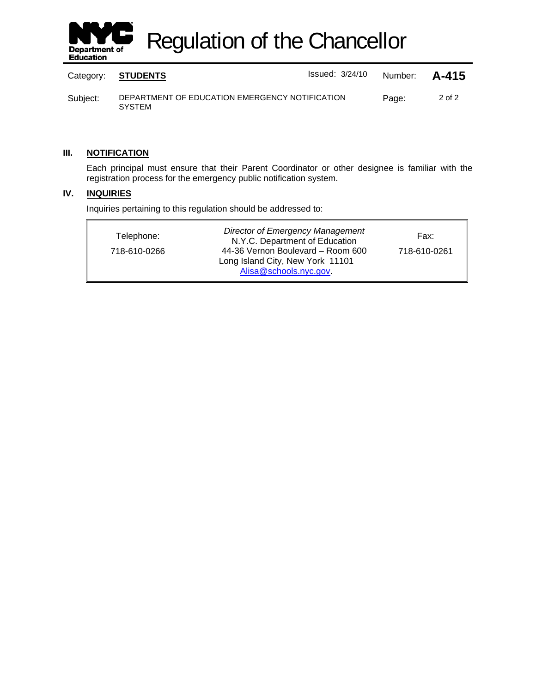

Regulation of the Chancellor

|          | Category: STUDENTS                                              | $Is sued: 3/24/10$ | Number: <b>A-415</b> |        |
|----------|-----------------------------------------------------------------|--------------------|----------------------|--------|
| Subject: | DEPARTMENT OF EDUCATION EMERGENCY NOTIFICATION<br><b>SYSTEM</b> |                    | Page:                | 2 of 2 |

## **III. NOTIFICATION**

Each principal must ensure that their Parent Coordinator or other designee is familiar with the registration process for the emergency public notification system.

#### **IV. INQUIRIES**

Inquiries pertaining to this regulation should be addressed to:

| Telephone:<br>718-610-0266 | <b>Director of Emergency Management</b><br>N.Y.C. Department of Education<br>44-36 Vernon Boulevard - Room 600<br>Long Island City, New York 11101 | Fax:<br>718-610-0261 |
|----------------------------|----------------------------------------------------------------------------------------------------------------------------------------------------|----------------------|
|                            | Alisa@schools.nyc.gov.                                                                                                                             |                      |